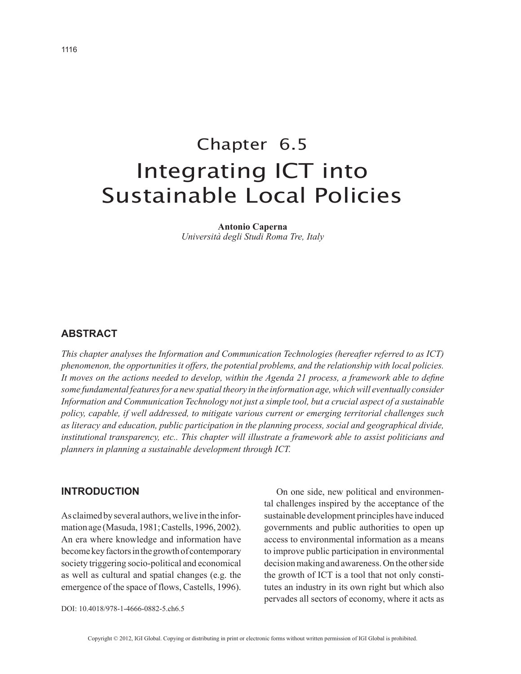# Chapter 6.5 Integrating ICT into Sustainable Local Policies

**Antonio Caperna** *Università degli Studi Roma Tre, Italy*

#### **ABSTRACT**

*This chapter analyses the Information and Communication Technologies (hereafter referred to as ICT) phenomenon, the opportunities it offers, the potential problems, and the relationship with local policies. It moves on the actions needed to develop, within the Agenda 21 process, a framework able to define some fundamental features for a new spatial theory in the information age, which will eventually consider Information and Communication Technology not just a simple tool, but a crucial aspect of a sustainable policy, capable, if well addressed, to mitigate various current or emerging territorial challenges such as literacy and education, public participation in the planning process, social and geographical divide, institutional transparency, etc.. This chapter will illustrate a framework able to assist politicians and planners in planning a sustainable development through ICT.*

## **INTRODUCTION**

As claimed by several authors, we live in the information age (Masuda, 1981; Castells, 1996, 2002). An era where knowledge and information have become key factors in the growth of contemporary society triggering socio-political and economical as well as cultural and spatial changes (e.g. the emergence of the space of flows, Castells, 1996).

DOI: 10.4018/978-1-4666-0882-5.ch6.5

On one side, new political and environmental challenges inspired by the acceptance of the sustainable development principles have induced governments and public authorities to open up access to environmental information as a means to improve public participation in environmental decision making and awareness. On the other side the growth of ICT is a tool that not only constitutes an industry in its own right but which also pervades all sectors of economy, where it acts as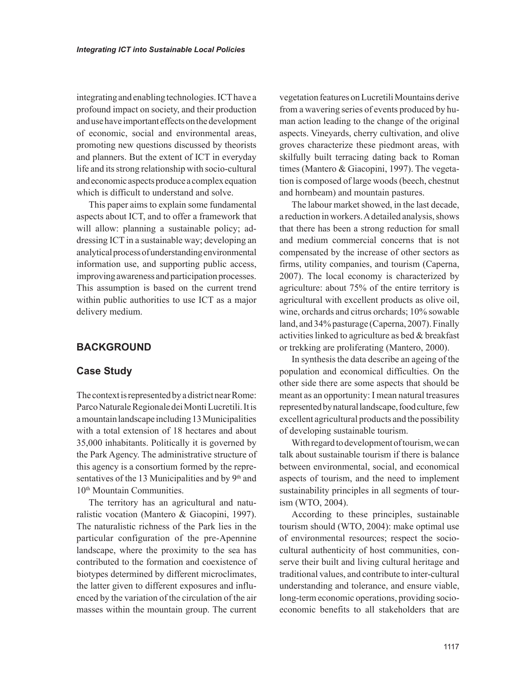integrating and enabling technologies. ICT have a profound impact on society, and their production and use have important effects on the development of economic, social and environmental areas, promoting new questions discussed by theorists and planners. But the extent of ICT in everyday life and its strong relationship with socio-cultural and economic aspects produce a complex equation which is difficult to understand and solve.

This paper aims to explain some fundamental aspects about ICT, and to offer a framework that will allow: planning a sustainable policy; addressing ICT in a sustainable way; developing an analytical process of understanding environmental information use, and supporting public access, improving awareness and participation processes. This assumption is based on the current trend within public authorities to use ICT as a major delivery medium.

## **BACKGROUND**

#### **Case Study**

The context is represented by a district near Rome: Parco Naturale Regionale dei Monti Lucretili. It is a mountain landscape including 13 Municipalities with a total extension of 18 hectares and about 35,000 inhabitants. Politically it is governed by the Park Agency. The administrative structure of this agency is a consortium formed by the representatives of the 13 Municipalities and by  $9<sup>th</sup>$  and 10<sup>th</sup> Mountain Communities.

The territory has an agricultural and naturalistic vocation (Mantero & Giacopini, 1997). The naturalistic richness of the Park lies in the particular configuration of the pre-Apennine landscape, where the proximity to the sea has contributed to the formation and coexistence of biotypes determined by different microclimates, the latter given to different exposures and influenced by the variation of the circulation of the air masses within the mountain group. The current

vegetation features on Lucretili Mountains derive from a wavering series of events produced by human action leading to the change of the original aspects. Vineyards, cherry cultivation, and olive groves characterize these piedmont areas, with skilfully built terracing dating back to Roman times (Mantero & Giacopini, 1997). The vegetation is composed of large woods (beech, chestnut and hornbeam) and mountain pastures.

The labour market showed, in the last decade, a reduction in workers. A detailed analysis, shows that there has been a strong reduction for small and medium commercial concerns that is not compensated by the increase of other sectors as firms, utility companies, and tourism (Caperna, 2007). The local economy is characterized by agriculture: about 75% of the entire territory is agricultural with excellent products as olive oil, wine, orchards and citrus orchards; 10% sowable land, and 34% pasturage (Caperna, 2007). Finally activities linked to agriculture as bed & breakfast or trekking are proliferating (Mantero, 2000).

In synthesis the data describe an ageing of the population and economical difficulties. On the other side there are some aspects that should be meant as an opportunity: I mean natural treasures represented by natural landscape, food culture, few excellent agricultural products and the possibility of developing sustainable tourism.

With regard to development of tourism, we can talk about sustainable tourism if there is balance between environmental, social, and economical aspects of tourism, and the need to implement sustainability principles in all segments of tourism (WTO, 2004).

According to these principles, sustainable tourism should (WTO, 2004): make optimal use of environmental resources; respect the sociocultural authenticity of host communities, conserve their built and living cultural heritage and traditional values, and contribute to inter-cultural understanding and tolerance, and ensure viable, long-term economic operations, providing socioeconomic benefits to all stakeholders that are